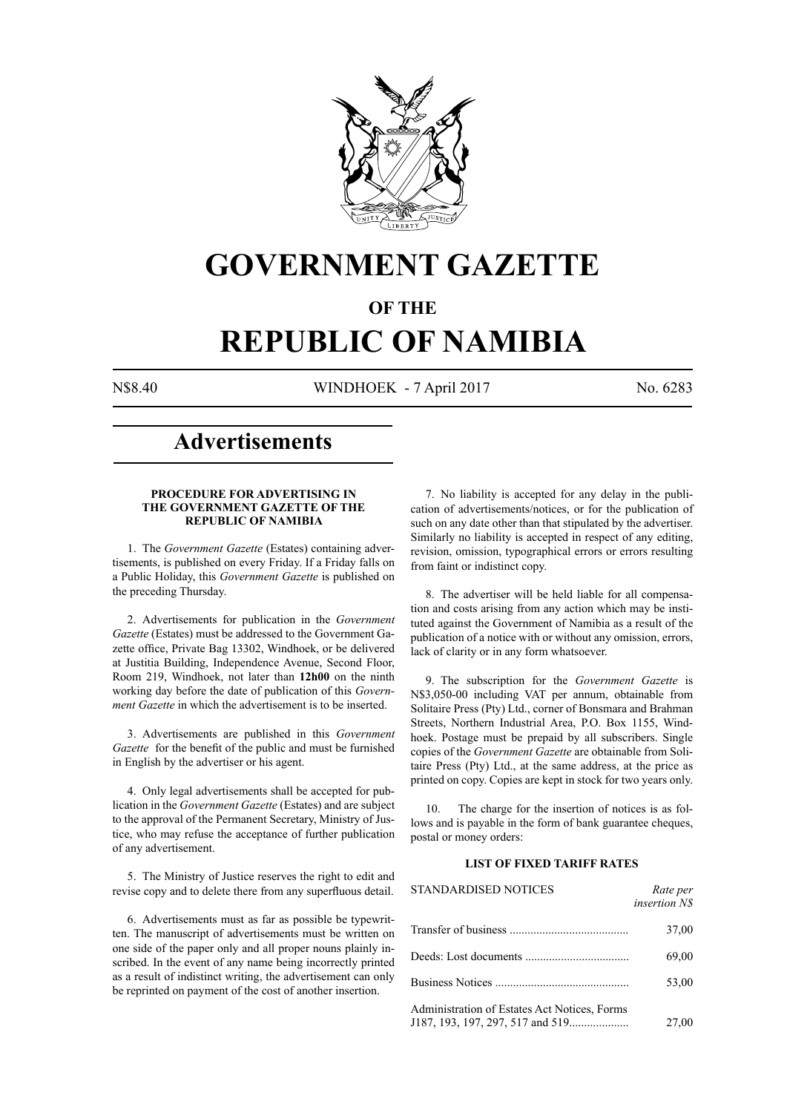

# **GOVERNMENT GAZETTE**

# **OF THE**

# **REPUBLIC OF NAMIBIA**

N\$8.40 WINDHOEK - 7 April 2017 No. 6283

# **Advertisements**

#### **PROCEDURE FOR ADVERTISING IN THE GOVERNMENT GAZETTE OF THE REPUBLIC OF NAMIBIA**

1. The *Government Gazette* (Estates) containing advertisements, is published on every Friday. If a Friday falls on a Public Holiday, this *Government Gazette* is published on the preceding Thursday.

2. Advertisements for publication in the *Government Gazette* (Estates) must be addressed to the Government Gazette office, Private Bag 13302, Windhoek, or be delivered at Justitia Building, Independence Avenue, Second Floor, Room 219, Windhoek, not later than **12h00** on the ninth working day before the date of publication of this *Government Gazette* in which the advertisement is to be inserted.

3. Advertisements are published in this *Government Gazette* for the benefit of the public and must be furnished in English by the advertiser or his agent.

4. Only legal advertisements shall be accepted for publication in the *Government Gazette* (Estates) and are subject to the approval of the Permanent Secretary, Ministry of Justice, who may refuse the acceptance of further publication of any advertisement.

5. The Ministry of Justice reserves the right to edit and revise copy and to delete there from any superfluous detail.

6. Advertisements must as far as possible be typewritten. The manuscript of advertisements must be written on one side of the paper only and all proper nouns plainly inscribed. In the event of any name being incorrectly printed as a result of indistinct writing, the advertisement can only be reprinted on payment of the cost of another insertion.

7. No liability is accepted for any delay in the publication of advertisements/notices, or for the publication of such on any date other than that stipulated by the advertiser. Similarly no liability is accepted in respect of any editing, revision, omission, typographical errors or errors resulting from faint or indistinct copy.

8. The advertiser will be held liable for all compensation and costs arising from any action which may be instituted against the Government of Namibia as a result of the publication of a notice with or without any omission, errors, lack of clarity or in any form whatsoever.

9. The subscription for the *Government Gazette* is N\$3,050-00 including VAT per annum, obtainable from Solitaire Press (Pty) Ltd., corner of Bonsmara and Brahman Streets, Northern Industrial Area, P.O. Box 1155, Windhoek. Postage must be prepaid by all subscribers. Single copies of the *Government Gazette* are obtainable from Solitaire Press (Pty) Ltd., at the same address, at the price as printed on copy. Copies are kept in stock for two years only.

10. The charge for the insertion of notices is as follows and is payable in the form of bank guarantee cheques, postal or money orders:

# **LIST OF FIXED TARIFF RATES**

| <b>STANDARDISED NOTICES</b>                  | Rate per<br><i>insertion NS</i> |
|----------------------------------------------|---------------------------------|
|                                              | 37,00                           |
|                                              | 69,00                           |
|                                              | 53,00                           |
| Administration of Estates Act Notices, Forms | 27,00                           |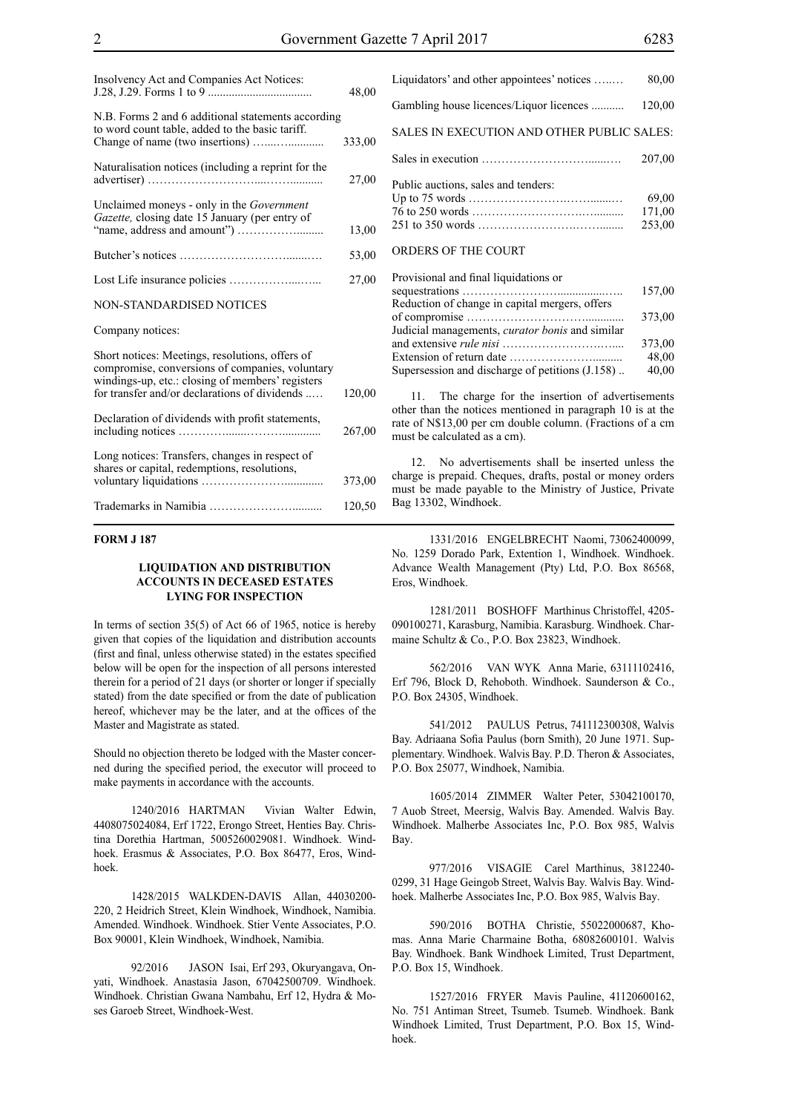| Insolvency Act and Companies Act Notices:                                                                                                                                                               | 48,00  |
|---------------------------------------------------------------------------------------------------------------------------------------------------------------------------------------------------------|--------|
| N.B. Forms 2 and 6 additional statements according<br>to word count table, added to the basic tariff.                                                                                                   |        |
|                                                                                                                                                                                                         | 333,00 |
| Naturalisation notices (including a reprint for the                                                                                                                                                     | 27,00  |
| Unclaimed moneys - only in the Government<br>Gazette, closing date 15 January (per entry of                                                                                                             |        |
|                                                                                                                                                                                                         | 13,00  |
|                                                                                                                                                                                                         | 53,00  |
|                                                                                                                                                                                                         | 27,00  |
| NON-STANDARDISED NOTICES                                                                                                                                                                                |        |
| Company notices:                                                                                                                                                                                        |        |
| Short notices: Meetings, resolutions, offers of<br>compromise, conversions of companies, voluntary<br>windings-up, etc.: closing of members' registers<br>for transfer and/or declarations of dividends |        |
|                                                                                                                                                                                                         | 120,00 |
| Declaration of dividends with profit statements,                                                                                                                                                        | 267,00 |
| Long notices: Transfers, changes in respect of<br>shares or capital, redemptions, resolutions,                                                                                                          |        |
|                                                                                                                                                                                                         | 373,00 |
|                                                                                                                                                                                                         | 120,50 |

#### **FORM J 187**

### **LIQUIDATION AND DISTRIBUTION ACCOUNTS IN DECEASED ESTATES LYING FOR INSPECTION**

In terms of section 35(5) of Act 66 of 1965, notice is hereby given that copies of the liquidation and distribution accounts (first and final, unless otherwise stated) in the estates specified below will be open for the inspection of all persons interested therein for a period of 21 days (or shorter or longer if specially stated) from the date specified or from the date of publication hereof, whichever may be the later, and at the offices of the Master and Magistrate as stated.

Should no objection thereto be lodged with the Master concerned during the specified period, the executor will proceed to make payments in accordance with the accounts.

1240/2016 HARTMAN Vivian Walter Edwin, 4408075024084, Erf 1722, Erongo Street, Henties Bay. Christina Dorethia Hartman, 5005260029081. Windhoek. Windhoek. Erasmus & Associates, P.O. Box 86477, Eros, Windhoek.

1428/2015 WALKDEN-DAVIS Allan, 44030200- 220, 2 Heidrich Street, Klein Windhoek, Windhoek, Namibia. Amended. Windhoek. Windhoek. Stier Vente Associates, P.O. Box 90001, Klein Windhoek, Windhoek, Namibia.

92/2016 JASON Isai, Erf 293, Okuryangava, Onyati, Windhoek. Anastasia Jason, 67042500709. Windhoek. Windhoek. Christian Gwana Nambahu, Erf 12, Hydra & Moses Garoeb Street, Windhoek-West.

Liquidators' and other appointees' notices …..… 80,00 Gambling house licences/Liquor licences ........... 120,00 SALES IN EXECUTION AND OTHER PUBLIC SALES: Sales in execution ………………………......…. 207,00 Public auctions, sales and tenders: Up to 75 words …………………….…….......… 69,00 76 to 250 words ……………………….….......... 171,00 251 to 350 words …………………….……........ 253,00 ORDERS OF THE COURT Provisional and final liquidations or

| Trovisional and mial inquidations of                   |        |
|--------------------------------------------------------|--------|
|                                                        | 157,00 |
| Reduction of change in capital mergers, offers         |        |
|                                                        | 373.00 |
| Judicial managements, <i>curator bonis</i> and similar |        |
|                                                        | 373.00 |
|                                                        | 48,00  |
| Supersession and discharge of petitions (J.158)        | 40,00  |
|                                                        |        |

11. The charge for the insertion of advertisements other than the notices mentioned in paragraph 10 is at the rate of N\$13,00 per cm double column. (Fractions of a cm must be calculated as a cm).

12. No advertisements shall be inserted unless the charge is prepaid. Cheques, drafts, postal or money orders must be made payable to the Ministry of Justice, Private Bag 13302, Windhoek.

1331/2016 ENGELBRECHT Naomi, 73062400099, No. 1259 Dorado Park, Extention 1, Windhoek. Windhoek. Advance Wealth Management (Pty) Ltd, P.O. Box 86568, Eros, Windhoek.

1281/2011 BOSHOFF Marthinus Christoffel, 4205- 090100271, Karasburg, Namibia. Karasburg. Windhoek. Charmaine Schultz & Co., P.O. Box 23823, Windhoek.

562/2016 VAN WYK Anna Marie, 63111102416, Erf 796, Block D, Rehoboth. Windhoek. Saunderson & Co., P.O. Box 24305, Windhoek.

541/2012 PAULUS Petrus, 741112300308, Walvis Bay. Adriaana Sofia Paulus (born Smith), 20 June 1971. Supplementary. Windhoek. Walvis Bay. P.D. Theron & Associates, P.O. Box 25077, Windhoek, Namibia.

1605/2014 ZIMMER Walter Peter, 53042100170, 7 Auob Street, Meersig, Walvis Bay. Amended. Walvis Bay. Windhoek. Malherbe Associates Inc, P.O. Box 985, Walvis Bay.

977/2016 VISAGIE Carel Marthinus, 3812240- 0299, 31 Hage Geingob Street, Walvis Bay. Walvis Bay. Windhoek. Malherbe Associates Inc, P.O. Box 985, Walvis Bay.

590/2016 BOTHA Christie, 55022000687, Khomas. Anna Marie Charmaine Botha, 68082600101. Walvis Bay. Windhoek. Bank Windhoek Limited, Trust Department, P.O. Box 15, Windhoek.

1527/2016 FRYER Mavis Pauline, 41120600162, No. 751 Antiman Street, Tsumeb. Tsumeb. Windhoek. Bank Windhoek Limited, Trust Department, P.O. Box 15, Windhoek.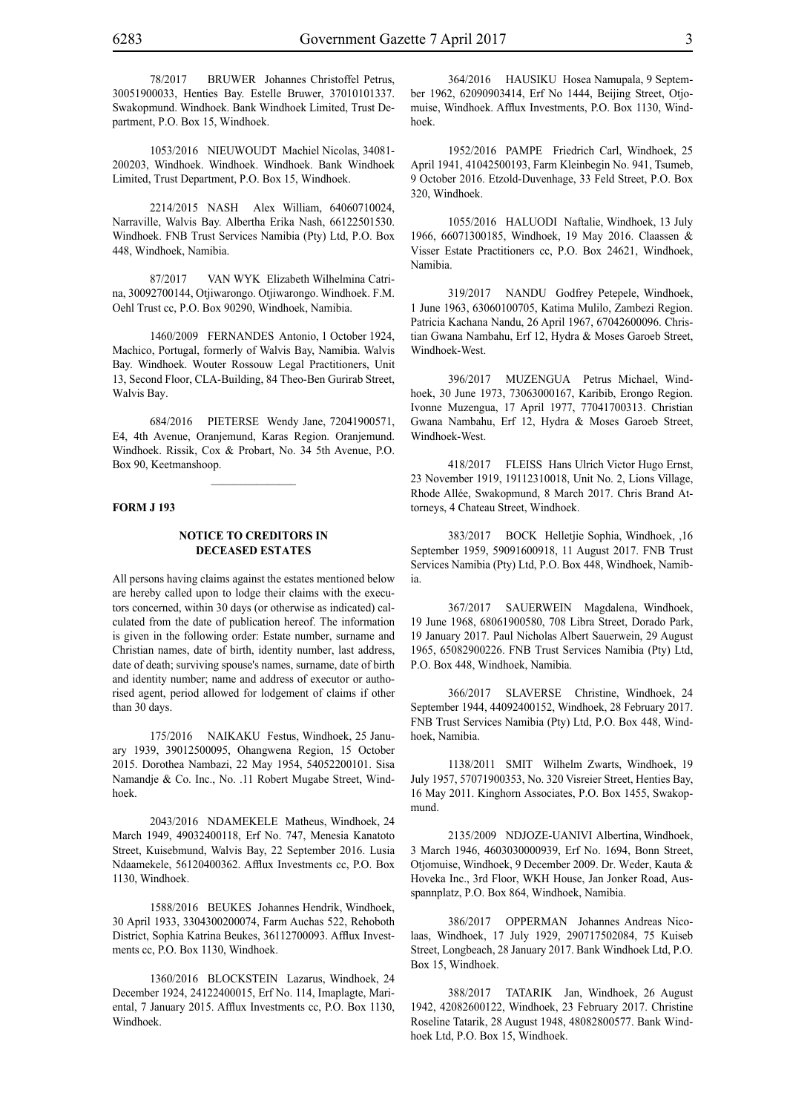78/2017 BRUWER Johannes Christoffel Petrus, 30051900033, Henties Bay. Estelle Bruwer, 37010101337. Swakopmund. Windhoek. Bank Windhoek Limited, Trust Department, P.O. Box 15, Windhoek.

1053/2016 NIEUWOUDT Machiel Nicolas, 34081- 200203, Windhoek. Windhoek. Windhoek. Bank Windhoek Limited, Trust Department, P.O. Box 15, Windhoek.

2214/2015 NASH Alex William, 64060710024, Narraville, Walvis Bay. Albertha Erika Nash, 66122501530. Windhoek. FNB Trust Services Namibia (Pty) Ltd, P.O. Box 448, Windhoek, Namibia.

87/2017 VAN WYK Elizabeth Wilhelmina Catrina, 30092700144, Otjiwarongo. Otjiwarongo. Windhoek. F.M. Oehl Trust cc, P.O. Box 90290, Windhoek, Namibia.

1460/2009 FERNANDES Antonio, 1 October 1924, Machico, Portugal, formerly of Walvis Bay, Namibia. Walvis Bay. Windhoek. Wouter Rossouw Legal Practitioners, Unit 13, Second Floor, CLA-Building, 84 Theo-Ben Gurirab Street, Walvis Bay.

684/2016 PIETERSE Wendy Jane, 72041900571, E4, 4th Avenue, Oranjemund, Karas Region. Oranjemund. Windhoek. Rissik, Cox & Probart, No. 34 5th Avenue, P.O. Box 90, Keetmanshoop.

 $\frac{1}{2}$ 

#### **FORM J 193**

### **NOTICE TO CREDITORS IN DECEASED ESTATES**

All persons having claims against the estates mentioned below are hereby called upon to lodge their claims with the executors concerned, within 30 days (or otherwise as indicated) calculated from the date of publication hereof. The information is given in the following order: Estate number, surname and Christian names, date of birth, identity number, last address, date of death; surviving spouse's names, surname, date of birth and identity number; name and address of executor or authorised agent, period allowed for lodgement of claims if other than 30 days.

175/2016 NAIKAKU Festus, Windhoek, 25 January 1939, 39012500095, Ohangwena Region, 15 October 2015. Dorothea Nambazi, 22 May 1954, 54052200101. Sisa Namandje & Co. Inc., No. .11 Robert Mugabe Street, Windhoek.

2043/2016 NDAMEKELE Matheus, Windhoek, 24 March 1949, 49032400118, Erf No. 747, Menesia Kanatoto Street, Kuisebmund, Walvis Bay, 22 September 2016. Lusia Ndaamekele, 56120400362. Afflux Investments cc, P.O. Box 1130, Windhoek.

1588/2016 BEUKES Johannes Hendrik, Windhoek, 30 April 1933, 3304300200074, Farm Auchas 522, Rehoboth District, Sophia Katrina Beukes, 36112700093. Afflux Investments cc, P.O. Box 1130, Windhoek.

1360/2016 BLOCKSTEIN Lazarus, Windhoek, 24 December 1924, 24122400015, Erf No. 114, Imaplagte, Mariental, 7 January 2015. Afflux Investments cc, P.O. Box 1130, Windhoek.

364/2016 HAUSIKU Hosea Namupala, 9 September 1962, 62090903414, Erf No 1444, Beijing Street, Otjomuise, Windhoek. Afflux Investments, P.O. Box 1130, Windhoek.

1952/2016 PAMPE Friedrich Carl, Windhoek, 25 April 1941, 41042500193, Farm Kleinbegin No. 941, Tsumeb, 9 October 2016. Etzold-Duvenhage, 33 Feld Street, P.O. Box 320, Windhoek.

1055/2016 HALUODI Naftalie, Windhoek, 13 July 1966, 66071300185, Windhoek, 19 May 2016. Claassen & Visser Estate Practitioners cc, P.O. Box 24621, Windhoek, Namibia.

319/2017 NANDU Godfrey Petepele, Windhoek, 1 June 1963, 63060100705, Katima Mulilo, Zambezi Region. Patricia Kachana Nandu, 26 April 1967, 67042600096. Christian Gwana Nambahu, Erf 12, Hydra & Moses Garoeb Street, Windhoek-West.

396/2017 MUZENGUA Petrus Michael, Windhoek, 30 June 1973, 73063000167, Karibib, Erongo Region. Ivonne Muzengua, 17 April 1977, 77041700313. Christian Gwana Nambahu, Erf 12, Hydra & Moses Garoeb Street, Windhoek-West.

418/2017 FLEISS Hans Ulrich Victor Hugo Ernst, 23 November 1919, 19112310018, Unit No. 2, Lions Village, Rhode Allée, Swakopmund, 8 March 2017. Chris Brand Attorneys, 4 Chateau Street, Windhoek.

383/2017 BOCK Helletjie Sophia, Windhoek, ,16 September 1959, 59091600918, 11 August 2017. FNB Trust Services Namibia (Pty) Ltd, P.O. Box 448, Windhoek, Namibia.

367/2017 SAUERWEIN Magdalena, Windhoek, 19 June 1968, 68061900580, 708 Libra Street, Dorado Park, 19 January 2017. Paul Nicholas Albert Sauerwein, 29 August 1965, 65082900226. FNB Trust Services Namibia (Pty) Ltd, P.O. Box 448, Windhoek, Namibia.

366/2017 SLAVERSE Christine, Windhoek, 24 September 1944, 44092400152, Windhoek, 28 February 2017. FNB Trust Services Namibia (Pty) Ltd, P.O. Box 448, Windhoek, Namibia.

1138/2011 SMIT Wilhelm Zwarts, Windhoek, 19 July 1957, 57071900353, No. 320 Visreier Street, Henties Bay, 16 May 2011. Kinghorn Associates, P.O. Box 1455, Swakopmund.

2135/2009 NDJOZE-UANIVI Albertina, Windhoek, 3 March 1946, 4603030000939, Erf No. 1694, Bonn Street, Otjomuise, Windhoek, 9 December 2009. Dr. Weder, Kauta & Hoveka Inc., 3rd Floor, WKH House, Jan Jonker Road, Ausspannplatz, P.O. Box 864, Windhoek, Namibia.

386/2017 OPPERMAN Johannes Andreas Nicolaas, Windhoek, 17 July 1929, 290717502084, 75 Kuiseb Street, Longbeach, 28 January 2017. Bank Windhoek Ltd, P.O. Box 15, Windhoek.

388/2017 TATARIK Jan, Windhoek, 26 August 1942, 42082600122, Windhoek, 23 February 2017. Christine Roseline Tatarik, 28 August 1948, 48082800577. Bank Windhoek Ltd, P.O. Box 15, Windhoek.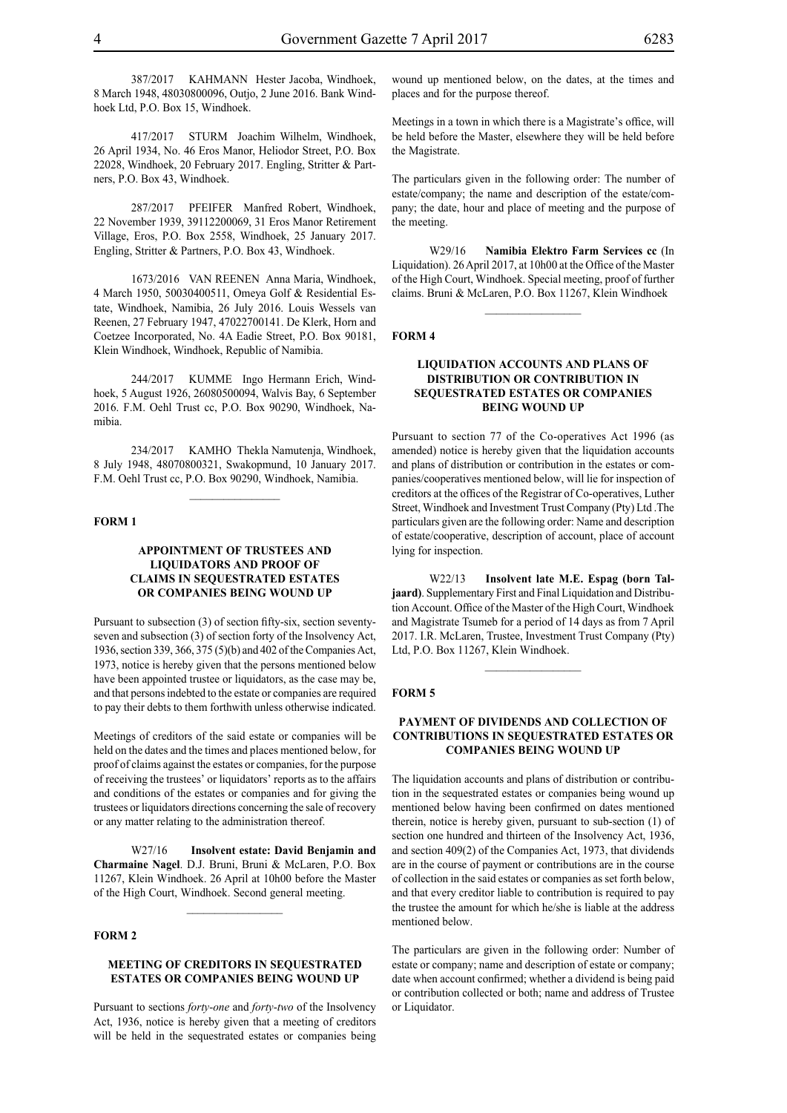387/2017 KAHMANN Hester Jacoba, Windhoek, 8 March 1948, 48030800096, Outjo, 2 June 2016. Bank Windhoek Ltd, P.O. Box 15, Windhoek.

417/2017 STURM Joachim Wilhelm, Windhoek, 26 April 1934, No. 46 Eros Manor, Heliodor Street, P.O. Box 22028, Windhoek, 20 February 2017. Engling, Stritter & Partners, P.O. Box 43, Windhoek.

287/2017 PFEIFER Manfred Robert, Windhoek, 22 November 1939, 39112200069, 31 Eros Manor Retirement Village, Eros, P.O. Box 2558, Windhoek, 25 January 2017. Engling, Stritter & Partners, P.O. Box 43, Windhoek.

1673/2016 VAN REENEN Anna Maria, Windhoek, 4 March 1950, 50030400511, Omeya Golf & Residential Estate, Windhoek, Namibia, 26 July 2016. Louis Wessels van Reenen, 27 February 1947, 47022700141. De Klerk, Horn and Coetzee Incorporated, No. 4A Eadie Street, P.O. Box 90181, Klein Windhoek, Windhoek, Republic of Namibia.

244/2017 KUMME Ingo Hermann Erich, Windhoek, 5 August 1926, 26080500094, Walvis Bay, 6 September 2016. F.M. Oehl Trust cc, P.O. Box 90290, Windhoek, Namibia.

234/2017 KAMHO Thekla Namutenja, Windhoek, 8 July 1948, 48070800321, Swakopmund, 10 January 2017. F.M. Oehl Trust cc, P.O. Box 90290, Windhoek, Namibia.

#### **FORM 1**

# **APPOINTMENT OF TRUSTEES AND LIQUIDATORS AND PROOF OF CLAIMS IN SEQUESTRATED ESTATES OR COMPANIES BEING WOUND UP**

Pursuant to subsection (3) of section fifty-six, section seventyseven and subsection (3) of section forty of the Insolvency Act, 1936, section 339, 366, 375 (5)(b) and 402 of the Companies Act, 1973, notice is hereby given that the persons mentioned below have been appointed trustee or liquidators, as the case may be, and that persons indebted to the estate or companies are required to pay their debts to them forthwith unless otherwise indicated.

Meetings of creditors of the said estate or companies will be held on the dates and the times and places mentioned below, for proof of claims against the estates or companies, for the purpose of receiving the trustees' or liquidators' reports as to the affairs and conditions of the estates or companies and for giving the trustees or liquidators directions concerning the sale of recovery or any matter relating to the administration thereof.

W27/16 **Insolvent estate: David Benjamin and Charmaine Nagel**. D.J. Bruni, Bruni & McLaren, P.O. Box 11267, Klein Windhoek. 26 April at 10h00 before the Master of the High Court, Windhoek. Second general meeting.

## **FORM 2**

# **MEETING OF CREDITORS IN SEQUESTRATED ESTATES OR COMPANIES BEING WOUND UP**

Pursuant to sections *forty-one* and *forty-two* of the Insolvency Act, 1936, notice is hereby given that a meeting of creditors will be held in the sequestrated estates or companies being

wound up mentioned below, on the dates, at the times and places and for the purpose thereof.

Meetings in a town in which there is a Magistrate's office, will be held before the Master, elsewhere they will be held before the Magistrate.

The particulars given in the following order: The number of estate/company; the name and description of the estate/company; the date, hour and place of meeting and the purpose of the meeting.

W29/16 **Namibia Elektro Farm Services cc** (In Liquidation). 26 April 2017, at 10h00 at the Office of the Master of the High Court, Windhoek. Special meeting, proof of further claims. Bruni & McLaren, P.O. Box 11267, Klein Windhoek

 $\frac{1}{2}$ 

#### **FORM 4**

# **LIQUIDATION ACCOUNTS AND PLANS OF DISTRIBUTION OR CONTRIBUTION IN SEQUESTRATED ESTATES OR COMPANIES BEING WOUND UP**

Pursuant to section 77 of the Co-operatives Act 1996 (as amended) notice is hereby given that the liquidation accounts and plans of distribution or contribution in the estates or companies/cooperatives mentioned below, will lie for inspection of creditors at the offices of the Registrar of Co-operatives, Luther Street, Windhoek and Investment Trust Company (Pty) Ltd .The particulars given are the following order: Name and description of estate/cooperative, description of account, place of account lying for inspection.

W22/13 **Insolvent late M.E. Espag (born Taljaard)**. Supplementary First and Final Liquidation and Distribution Account. Office of the Master of the High Court, Windhoek and Magistrate Tsumeb for a period of 14 days as from 7 April 2017. I.R. McLaren, Trustee, Investment Trust Company (Pty) Ltd, P.O. Box 11267, Klein Windhoek.

#### **FORM 5**

# **PAYMENT OF DIVIDENDS AND COLLECTION OF CONTRIBUTIONS IN SEQUESTRATED ESTATES OR COMPANIES BEING WOUND UP**

The liquidation accounts and plans of distribution or contribution in the sequestrated estates or companies being wound up mentioned below having been confirmed on dates mentioned therein, notice is hereby given, pursuant to sub-section (1) of section one hundred and thirteen of the Insolvency Act, 1936, and section 409(2) of the Companies Act, 1973, that dividends are in the course of payment or contributions are in the course of collection in the said estates or companies as set forth below, and that every creditor liable to contribution is required to pay the trustee the amount for which he/she is liable at the address mentioned below.

The particulars are given in the following order: Number of estate or company; name and description of estate or company; date when account confirmed; whether a dividend is being paid or contribution collected or both; name and address of Trustee or Liquidator.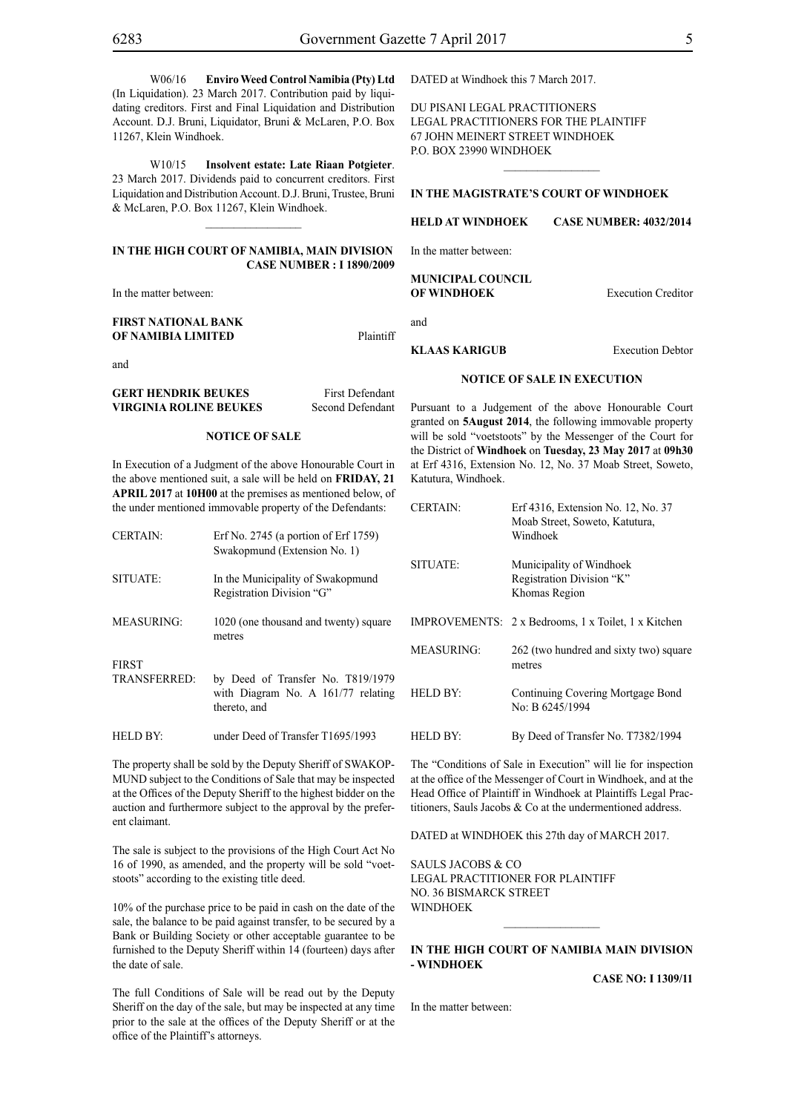W06/16 **Enviro Weed Control Namibia (Pty) Ltd**  (In Liquidation). 23 March 2017. Contribution paid by liquidating creditors. First and Final Liquidation and Distribution Account. D.J. Bruni, Liquidator, Bruni & McLaren, P.O. Box 11267, Klein Windhoek.

W10/15 **Insolvent estate: Late Riaan Potgieter**. 23 March 2017. Dividends paid to concurrent creditors. First Liquidation and Distribution Account. D.J. Bruni, Trustee, Bruni & McLaren, P.O. Box 11267, Klein Windhoek.

## **IN THE HIGH COURT OF NAMIBIA, MAIN DIVISION Case Number : I 1890/2009**

 $\frac{1}{2}$ 

In the matter between:

| FIRST NATIONAL BANK |           |
|---------------------|-----------|
| OF NAMIBIA LIMITED  | Plaintiff |

and

| <b>GERT HENDRIK BEUKES</b> | <b>First Defendant</b> |
|----------------------------|------------------------|
| VIRGINIA ROLINE BEUKES     | Second Defendant       |

#### **NOTICE OF SALE**

In Execution of a Judgment of the above Honourable Court in the above mentioned suit, a sale will be held on **FRIDAY, 21 APRIL 2017** at **10H00** at the premises as mentioned below, of the under mentioned immovable property of the Defendants:

| <b>CERTAIN:</b>              | Erf No. 2745 (a portion of Erf 1759)<br>Swakopmund (Extension No. 1)                      |
|------------------------------|-------------------------------------------------------------------------------------------|
| SITUATE:                     | In the Municipality of Swakopmund<br>Registration Division "G"                            |
| <b>MEASURING:</b>            | 1020 (one thousand and twenty) square<br>metres                                           |
| <b>FIRST</b><br>TRANSFERRED: | by Deed of Transfer No. T819/1979<br>with Diagram No. A $161/77$ relating<br>thereto, and |
| <b>HELD BY:</b>              | under Deed of Transfer T1695/1993                                                         |

The property shall be sold by the Deputy Sheriff of SWAKOP-MUND subject to the Conditions of Sale that may be inspected at the Offices of the Deputy Sheriff to the highest bidder on the auction and furthermore subject to the approval by the preferent claimant.

The sale is subject to the provisions of the High Court Act No 16 of 1990, as amended, and the property will be sold "voetstoots" according to the existing title deed.

10% of the purchase price to be paid in cash on the date of the sale, the balance to be paid against transfer, to be secured by a Bank or Building Society or other acceptable guarantee to be furnished to the Deputy Sheriff within 14 (fourteen) days after the date of sale.

The full Conditions of Sale will be read out by the Deputy Sheriff on the day of the sale, but may be inspected at any time prior to the sale at the offices of the Deputy Sheriff or at the office of the Plaintiff's attorneys.

DATED at Windhoek this 7 March 2017.

Du Pisani Legal Practitioners Legal Practitioners for the Plaintiff 67 John Meinert Street Windhoek P.O. Box 23990 Windhoek

# **IN THE MAGISTRATE'S COURT OF WINDHOEK**

 $\frac{1}{2}$ 

**HELD AT WINDHOEK CASE NUMBER: 4032/2014**

In the matter between:

**MUNICIPAL COUNCIL OF WINDHOEK** Execution Creditor

and

**First Defendant** 

#### **KLAAS KARIGUB** Execution Debtor

### **NOTICE OF SALE IN EXECUTION**

Pursuant to a Judgement of the above Honourable Court granted on **5August 2014**, the following immovable property will be sold "voetstoots" by the Messenger of the Court for the District of **Windhoek** on **Tuesday, 23 May 2017** at **09h30** at Erf 4316, Extension No. 12, No. 37 Moab Street, Soweto, Katutura, Windhoek.

| <b>CERTAIN:</b>   | Erf 4316, Extension No. 12, No. 37<br>Moab Street, Soweto, Katutura,<br>Windhoek |
|-------------------|----------------------------------------------------------------------------------|
| SITUATE:          | Municipality of Windhoek<br>Registration Division "K"<br>Khomas Region           |
|                   | IMPROVEMENTS: 2 x Bedrooms, 1 x Toilet, 1 x Kitchen                              |
| <b>MEASURING:</b> | 262 (two hundred and sixty two) square<br>metres                                 |
| <b>HELD BY:</b>   | Continuing Covering Mortgage Bond<br>No: B 6245/1994                             |
| HELD BY:          | By Deed of Transfer No. T7382/1994                                               |

The "Conditions of Sale in Execution" will lie for inspection at the office of the Messenger of Court in Windhoek, and at the Head Office of Plaintiff in Windhoek at Plaintiffs Legal Practitioners, Sauls Jacobs & Co at the undermentioned address.

DATED at WINDHOEK this 27th day of MARCH 2017.

SAULS JACOBS & CO Legal Practitioner for Plaintiff No. 36 Bismarck Street **WINDHOEK** 

# **IN THE HIGH COURT OF NAMIBIA MAIN DIVISION - WINDHOEK**

 $\frac{1}{2}$ 

**CASE NO: I 1309/11**

In the matter between: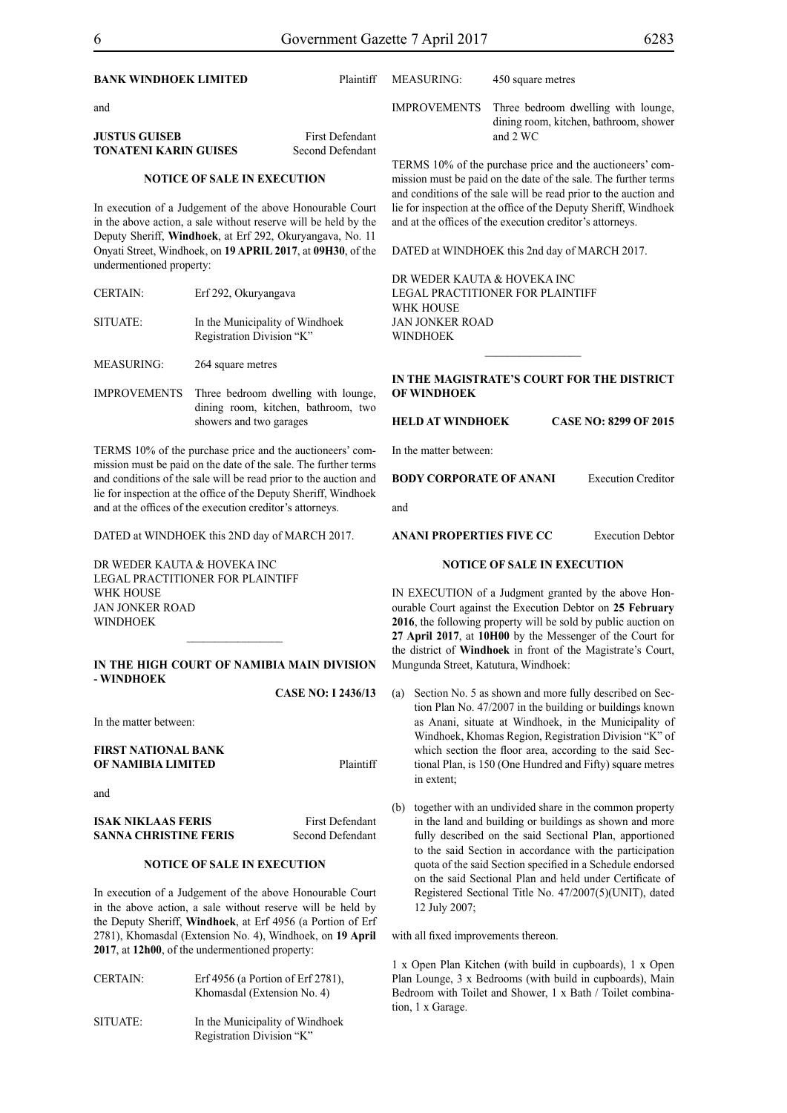| <b>BANK WINDHOEK LIMITED</b>                                                                                                                                                                                                                             |                                                              | Plaintiff                                                                                                                                                                                        | <b>MEASURING:</b>                                                                                                           | 450 square metres                                                                                                  |                                                                                                                                                                                                                                           |
|----------------------------------------------------------------------------------------------------------------------------------------------------------------------------------------------------------------------------------------------------------|--------------------------------------------------------------|--------------------------------------------------------------------------------------------------------------------------------------------------------------------------------------------------|-----------------------------------------------------------------------------------------------------------------------------|--------------------------------------------------------------------------------------------------------------------|-------------------------------------------------------------------------------------------------------------------------------------------------------------------------------------------------------------------------------------------|
| and                                                                                                                                                                                                                                                      |                                                              |                                                                                                                                                                                                  | <b>IMPROVEMENTS</b>                                                                                                         |                                                                                                                    | Three bedroom dwelling with lounge,                                                                                                                                                                                                       |
| <b>JUSTUS GUISEB</b><br><b>TONATENI KARIN GUISES</b>                                                                                                                                                                                                     |                                                              | <b>First Defendant</b><br>Second Defendant                                                                                                                                                       |                                                                                                                             | and 2 WC                                                                                                           | dining room, kitchen, bathroom, shower                                                                                                                                                                                                    |
| <b>NOTICE OF SALE IN EXECUTION</b>                                                                                                                                                                                                                       |                                                              | TERMS 10% of the purchase price and the auctioneers' com-<br>mission must be paid on the date of the sale. The further terms<br>and conditions of the sale will be read prior to the auction and |                                                                                                                             |                                                                                                                    |                                                                                                                                                                                                                                           |
| In execution of a Judgement of the above Honourable Court<br>in the above action, a sale without reserve will be held by the<br>Deputy Sheriff, Windhoek, at Erf 292, Okuryangava, No. 11<br>Onyati Street, Windhoek, on 19 APRIL 2017, at 09H30, of the |                                                              | lie for inspection at the office of the Deputy Sheriff, Windhoek<br>and at the offices of the execution creditor's attorneys.<br>DATED at WINDHOEK this 2nd day of MARCH 2017.                   |                                                                                                                             |                                                                                                                    |                                                                                                                                                                                                                                           |
| undermentioned property:                                                                                                                                                                                                                                 |                                                              |                                                                                                                                                                                                  |                                                                                                                             |                                                                                                                    |                                                                                                                                                                                                                                           |
| <b>CERTAIN:</b>                                                                                                                                                                                                                                          | Erf 292, Okuryangava                                         |                                                                                                                                                                                                  | DR WEDER KAUTA & HOVEKA INC<br>LEGAL PRACTITIONER FOR PLAINTIFF<br>WHK HOUSE                                                |                                                                                                                    |                                                                                                                                                                                                                                           |
| SITUATE:                                                                                                                                                                                                                                                 | In the Municipality of Windhoek<br>Registration Division "K" |                                                                                                                                                                                                  | <b>JAN JONKER ROAD</b><br><b>WINDHOEK</b>                                                                                   |                                                                                                                    |                                                                                                                                                                                                                                           |
| <b>MEASURING:</b>                                                                                                                                                                                                                                        | 264 square metres                                            |                                                                                                                                                                                                  |                                                                                                                             |                                                                                                                    |                                                                                                                                                                                                                                           |
| <b>IMPROVEMENTS</b><br>Three bedroom dwelling with lounge,                                                                                                                                                                                               |                                                              | IN THE MAGISTRATE'S COURT FOR THE DISTRICT<br><b>OF WINDHOEK</b>                                                                                                                                 |                                                                                                                             |                                                                                                                    |                                                                                                                                                                                                                                           |
|                                                                                                                                                                                                                                                          | showers and two garages                                      | dining room, kitchen, bathroom, two                                                                                                                                                              | <b>HELD AT WINDHOEK</b>                                                                                                     |                                                                                                                    | <b>CASE NO: 8299 OF 2015</b>                                                                                                                                                                                                              |
| TERMS 10% of the purchase price and the auctioneers' com-                                                                                                                                                                                                |                                                              | In the matter between:                                                                                                                                                                           |                                                                                                                             |                                                                                                                    |                                                                                                                                                                                                                                           |
| mission must be paid on the date of the sale. The further terms<br>and conditions of the sale will be read prior to the auction and<br>lie for inspection at the office of the Deputy Sheriff, Windhoek                                                  |                                                              | <b>BODY CORPORATE OF ANANI</b>                                                                                                                                                                   |                                                                                                                             | <b>Execution Creditor</b>                                                                                          |                                                                                                                                                                                                                                           |
|                                                                                                                                                                                                                                                          | and at the offices of the execution creditor's attorneys.    |                                                                                                                                                                                                  | and                                                                                                                         |                                                                                                                    |                                                                                                                                                                                                                                           |
|                                                                                                                                                                                                                                                          | DATED at WINDHOEK this 2ND day of MARCH 2017.                |                                                                                                                                                                                                  | <b>ANANI PROPERTIES FIVE CC</b>                                                                                             |                                                                                                                    | <b>Execution Debtor</b>                                                                                                                                                                                                                   |
| DR WEDER KAUTA & HOVEKA INC                                                                                                                                                                                                                              | LEGAL PRACTITIONER FOR PLAINTIFF                             |                                                                                                                                                                                                  |                                                                                                                             | <b>NOTICE OF SALE IN EXECUTION</b>                                                                                 |                                                                                                                                                                                                                                           |
| WHK HOUSE                                                                                                                                                                                                                                                |                                                              |                                                                                                                                                                                                  | IN EXECUTION of a Judgment granted by the above Hon-                                                                        |                                                                                                                    |                                                                                                                                                                                                                                           |
| <b>JAN JONKER ROAD</b><br><b>WINDHOEK</b>                                                                                                                                                                                                                |                                                              |                                                                                                                                                                                                  | ourable Court against the Execution Debtor on 25 February<br>2016, the following property will be sold by public auction on |                                                                                                                    |                                                                                                                                                                                                                                           |
|                                                                                                                                                                                                                                                          |                                                              |                                                                                                                                                                                                  |                                                                                                                             |                                                                                                                    | 27 April 2017, at 10H00 by the Messenger of the Court for<br>the district of Windhoek in front of the Magistrate's Court,                                                                                                                 |
| - WINDHOEK                                                                                                                                                                                                                                               | IN THE HIGH COURT OF NAMIBIA MAIN DIVISION                   |                                                                                                                                                                                                  | Mungunda Street, Katutura, Windhoek:                                                                                        |                                                                                                                    |                                                                                                                                                                                                                                           |
|                                                                                                                                                                                                                                                          |                                                              | <b>CASE NO: I 2436/13</b>                                                                                                                                                                        | (a)                                                                                                                         |                                                                                                                    | Section No. 5 as shown and more fully described on Sec-                                                                                                                                                                                   |
| In the matter between:                                                                                                                                                                                                                                   |                                                              |                                                                                                                                                                                                  |                                                                                                                             |                                                                                                                    | tion Plan No. 47/2007 in the building or buildings known<br>as Anani, situate at Windhoek, in the Municipality of<br>Windhoek, Khomas Region, Registration Division "K" of                                                                |
| <b>FIRST NATIONAL BANK</b><br>OF NAMIBIA LIMITED                                                                                                                                                                                                         |                                                              | Plaintiff                                                                                                                                                                                        |                                                                                                                             |                                                                                                                    | which section the floor area, according to the said Sec-<br>tional Plan, is 150 (One Hundred and Fifty) square metres                                                                                                                     |
| and                                                                                                                                                                                                                                                      |                                                              |                                                                                                                                                                                                  | in extent;                                                                                                                  |                                                                                                                    |                                                                                                                                                                                                                                           |
| <b>ISAK NIKLAAS FERIS</b><br><b>SANNA CHRISTINE FERIS</b>                                                                                                                                                                                                |                                                              | <b>First Defendant</b><br>Second Defendant                                                                                                                                                       | (b)                                                                                                                         |                                                                                                                    | together with an undivided share in the common property<br>in the land and building or buildings as shown and more<br>fully described on the said Sectional Plan, apportioned<br>to the said Section in accordance with the participation |
| NOTICE OF SALE IN EXECUTION                                                                                                                                                                                                                              |                                                              |                                                                                                                                                                                                  |                                                                                                                             | quota of the said Section specified in a Schedule endorsed                                                         |                                                                                                                                                                                                                                           |
| In execution of a Judgement of the above Honourable Court<br>in the above action, a sale without reserve will be held by<br>the Deputy Sheriff, Windhoek, at Erf 4956 (a Portion of Erf                                                                  |                                                              | 12 July 2007;                                                                                                                                                                                    |                                                                                                                             | on the said Sectional Plan and held under Certificate of<br>Registered Sectional Title No. 47/2007(5)(UNIT), dated |                                                                                                                                                                                                                                           |

2781), Khomasdal (Extension No. 4), Windhoek, on **19 April** 

Khomasdal (Extension No. 4)

Registration Division "K"

**2017**, at **12h00**, of the undermentioned property:

CERTAIN: Erf 4956 (a Portion of Erf 2781),

SITUATE: In the Municipality of Windhoek

with all fixed improvements thereon.

1 x Open Plan Kitchen (with build in cupboards), 1 x Open Plan Lounge, 3 x Bedrooms (with build in cupboards), Main Bedroom with Toilet and Shower, 1 x Bath / Toilet combination, 1 x Garage.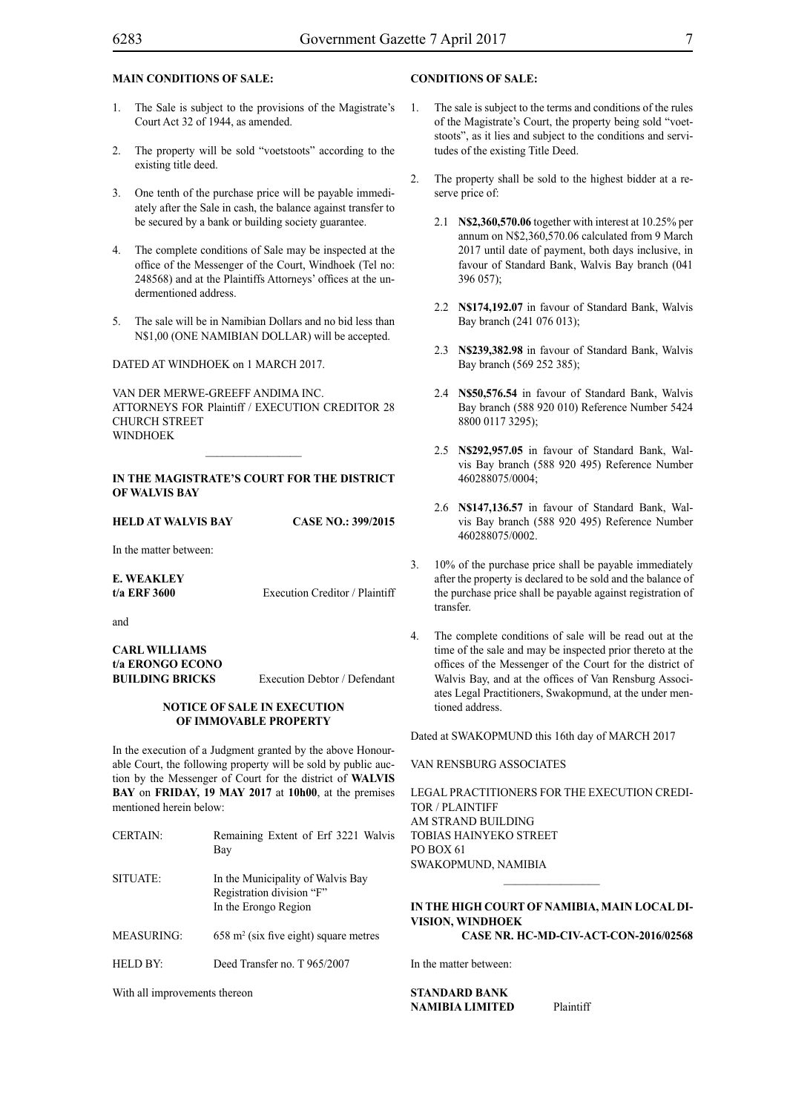# **MAIN CONDITIONS OF SALE:**

- 1. The Sale is subject to the provisions of the Magistrate's Court Act 32 of 1944, as amended.
- 2. The property will be sold "voetstoots" according to the existing title deed.
- 3. One tenth of the purchase price will be payable immediately after the Sale in cash, the balance against transfer to be secured by a bank or building society guarantee.
- 4. The complete conditions of Sale may be inspected at the office of the Messenger of the Court, Windhoek (Tel no: 248568) and at the Plaintiffs Attorneys' offices at the undermentioned address.
- 5. The sale will be in Namibian Dollars and no bid less than N\$1,00 (ONE NAMIBIAN DOLLAR) will be accepted.

DATED AT WINDHOEK on 1 MARCH 2017.

VAN DER MERWE-GREEFF ANDIMA INC. ATTORNEYS FOR Plaintiff / EXECUTION CREDITOR 28 CHURCH STREET **WINDHOEK** 

### **In the Magistrate's Court for the District of Walvis Bay**

 $\frac{1}{2}$ 

| HELD AT WALVIS BAY | <b>CASE NO.: 399/2015</b> |
|--------------------|---------------------------|
|                    |                           |

In the matter between:

**E. WEAKLEY t/a ERF 3600** Execution Creditor / Plaintiff

and

**CARL WILLIAMS t/a ERONGO ECONO BUILDING BRICKS** Execution Debtor / Defendant

#### **NOTICE OF SALE IN EXECUTION OF IMMOVABLE PROPERTY**

In the execution of a Judgment granted by the above Honourable Court, the following property will be sold by public auction by the Messenger of Court for the district of **WALVIS BAY** on **FRIDAY, 19 MAY 2017** at **10h00**, at the premises mentioned herein below:

| <b>CERTAIN:</b> | Remaining Extent of Erf 3221 Walvis<br>Bay                                             |
|-----------------|----------------------------------------------------------------------------------------|
| SITUATE:        | In the Municipality of Walvis Bay<br>Registration division "F"<br>In the Erongo Region |
| MEASURING:      | $658$ m <sup>2</sup> (six five eight) square metres                                    |
| HELD BY:        | Deed Transfer no. T 965/2007                                                           |

With all improvements thereon

# **CONDITIONS OF SALE:**

- 1. The sale is subject to the terms and conditions of the rules of the Magistrate's Court, the property being sold "voetstoots", as it lies and subject to the conditions and servitudes of the existing Title Deed.
- 2. The property shall be sold to the highest bidder at a reserve price of:
	- 2.1 **N\$2,360,570.06** together with interest at 10.25% per annum on N\$2,360,570.06 calculated from 9 March 2017 until date of payment, both days inclusive, in favour of Standard Bank, Walvis Bay branch (041 396 057);
	- 2.2 **N\$174,192.07** in favour of Standard Bank, Walvis Bay branch (241 076 013);
	- 2.3 **N\$239,382.98** in favour of Standard Bank, Walvis Bay branch (569 252 385);
	- 2.4 **N\$50,576.54** in favour of Standard Bank, Walvis Bay branch (588 920 010) Reference Number 5424 8800 0117 3295);
	- 2.5 **N\$292,957.05** in favour of Standard Bank, Walvis Bay branch (588 920 495) Reference Number 460288075/0004;
	- 2.6 **N\$147,136.57** in favour of Standard Bank, Walvis Bay branch (588 920 495) Reference Number 460288075/0002.
- 3. 10% of the purchase price shall be payable immediately after the property is declared to be sold and the balance of the purchase price shall be payable against registration of transfer.
- 4. The complete conditions of sale will be read out at the time of the sale and may be inspected prior thereto at the offices of the Messenger of the Court for the district of Walvis Bay, and at the offices of Van Rensburg Associates Legal Practitioners, Swakopmund, at the under mentioned address.

Dated at SWAKOPMUND this 16th day of MARCH 2017

#### VAN RENSBURG ASSOCIATES

Legal Practitioners for the Execution credi-TOR / PLAINTIFF AM STR AND BUILDING Tobias Hainyeko Street PO Box 61 Swakopmund, Namibia

# **IN THE HIGH COURT OF NAMIBIA, MAIN LOCAL DI-VISION, WINDHOEK Case Nr. HC-MD-CIV-ACT-CON-2016/02568**

 $\frac{1}{2}$ 

In the matter between:

**STANDARD BANK NAMIBIA LIMITED** Plaintiff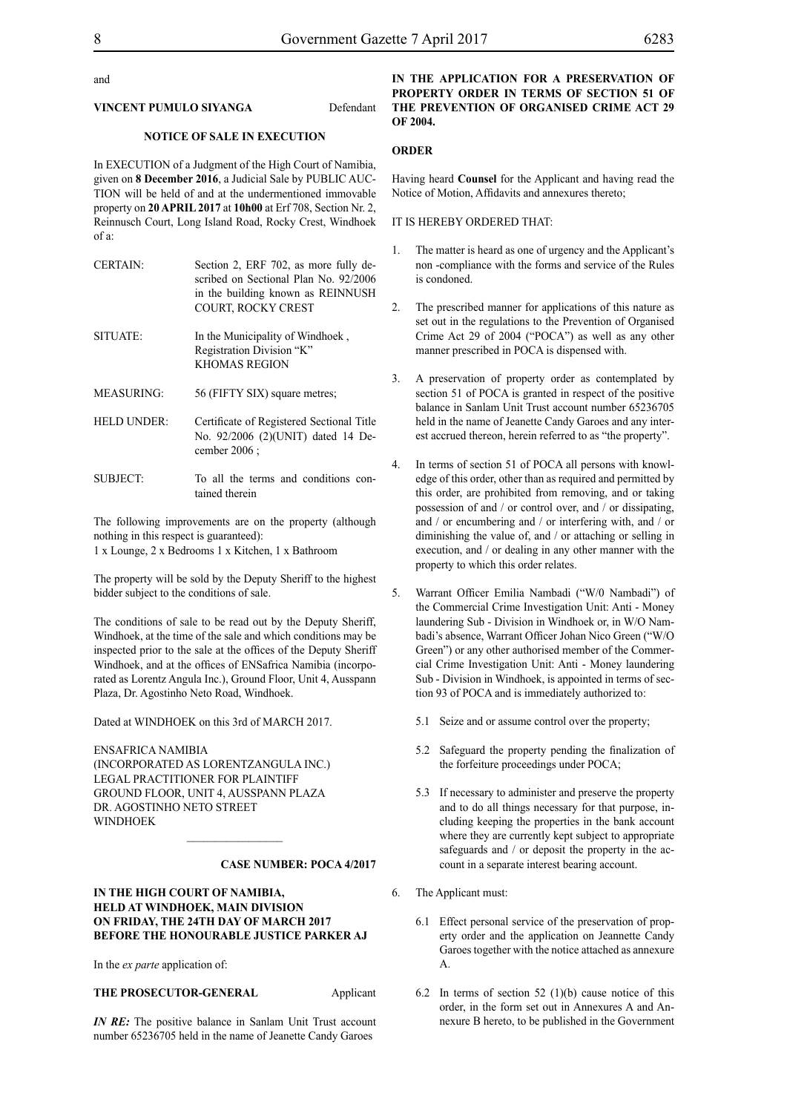#### and

#### **VINCENT PUMULO SIYANGA** Defendant

### **NOTICE OF SALE IN EXECUTION**

In EXECUTION of a Judgment of the High Court of Namibia, given on **8 December 2016**, a Judicial Sale by PUBLIC AUC-TION will be held of and at the undermentioned immovable property on **20 APRIL 2017** at **10h00** at Erf 708, Section Nr. 2, Reinnusch Court, Long Island Road, Rocky Crest, Windhoek of a:

| <b>CERTAIN:</b> | Section 2, ERF 702, as more fully de-<br>scribed on Sectional Plan No. 92/2006<br>in the building known as REINNUSH<br><b>COURT, ROCKY CREST</b> |
|-----------------|--------------------------------------------------------------------------------------------------------------------------------------------------|
| SITUATE:        | In the Municipality of Windhoek,<br>Registration Division "K"<br><b>KHOMAS REGION</b>                                                            |
| MEASURING:      | 56 (FIFTY SIX) square metres;                                                                                                                    |
| HELD UNDER:     | Certificate of Registered Sectional Title<br>No. 92/2006 (2)(UNIT) dated 14 De-<br>cember 2006 :                                                 |
| SUBJECT:        | To all the terms and conditions con-<br>tained therein                                                                                           |

The following improvements are on the property (although nothing in this respect is guaranteed):

1 x Lounge, 2 x Bedrooms 1 x Kitchen, 1 x Bathroom

The property will be sold by the Deputy Sheriff to the highest bidder subject to the conditions of sale.

The conditions of sale to be read out by the Deputy Sheriff, Windhoek, at the time of the sale and which conditions may be inspected prior to the sale at the offices of the Deputy Sheriff Windhoek, and at the offices of ENSafrica Namibia (incorporated as Lorentz Angula Inc.), Ground Floor, Unit 4, Ausspann Plaza, Dr. Agostinho Neto Road, Windhoek.

Dated at WINDHOEK on this 3rd of MARCH 2017.

ENSafrica Namibia (incorporated as LorentzAngula Inc.) Legal Practitioner for Plaintiff Ground Floor, Unit 4, Ausspann Plaza Dr. Agostinho Neto Street **WINDHOEK** 

#### **Case number: POCA 4/2017**

# **IN THE HIGH COURT OF NAMIBIA, HELD AT WINDHOEK, MAIN DIVISION ON FRIDAY, THE 24TH DAY OF MARCH 2017 BEFORE THE HONOURABLE JUSTICE PARKER AJ**

 $\frac{1}{2}$ 

In the *ex parte* application of:

# **THE PROSECUTOR-GENERAL** Applicant

*IN RE:* The positive balance in Sanlam Unit Trust account number 65236705 held in the name of Jeanette Candy Garoes

# **IN THE APPLICATION FOR A PRESERVATION OF PROPERTY ORDER IN TERMS OF SECTION 51 OF THE PREVENTION OF ORGANISED CRIME ACT 29 OF 2004.**

### **ORDER**

Having heard **Counsel** for the Applicant and having read the Notice of Motion, Affidavits and annexures thereto;

#### IT IS HEREBY ORDERED THAT:

- 1. The matter is heard as one of urgency and the Applicant's non -compliance with the forms and service of the Rules is condoned.
- 2. The prescribed manner for applications of this nature as set out in the regulations to the Prevention of Organised Crime Act 29 of 2004 ("POCA") as well as any other manner prescribed in POCA is dispensed with.
- 3. A preservation of property order as contemplated by section 51 of POCA is granted in respect of the positive balance in Sanlam Unit Trust account number 65236705 held in the name of Jeanette Candy Garoes and any interest accrued thereon, herein referred to as "the property".
- 4. In terms of section 51 of POCA all persons with knowledge of this order, other than as required and permitted by this order, are prohibited from removing, and or taking possession of and / or control over, and / or dissipating, and / or encumbering and / or interfering with, and / or diminishing the value of, and / or attaching or selling in execution, and / or dealing in any other manner with the property to which this order relates.
- 5. Warrant Officer Emilia Nambadi ("W/0 Nambadi") of the Commercial Crime Investigation Unit: Anti - Money laundering Sub - Division in Windhoek or, in W/O Nambadi's absence, Warrant Officer Johan Nico Green ("W/O Green") or any other authorised member of the Commercial Crime Investigation Unit: Anti - Money laundering Sub - Division in Windhoek, is appointed in terms of section 93 of POCA and is immediately authorized to:
	- 5.1 Seize and or assume control over the property;
	- 5.2 Safeguard the property pending the finalization of the forfeiture proceedings under POCA;
	- 5.3 If necessary to administer and preserve the property and to do all things necessary for that purpose, including keeping the properties in the bank account where they are currently kept subject to appropriate safeguards and / or deposit the property in the account in a separate interest bearing account.
- 6. The Applicant must:
	- 6.1 Effect personal service of the preservation of property order and the application on Jeannette Candy Garoes together with the notice attached as annexure A.
	- 6.2 In terms of section 52 (1)(b) cause notice of this order, in the form set out in Annexures A and Annexure B hereto, to be published in the Government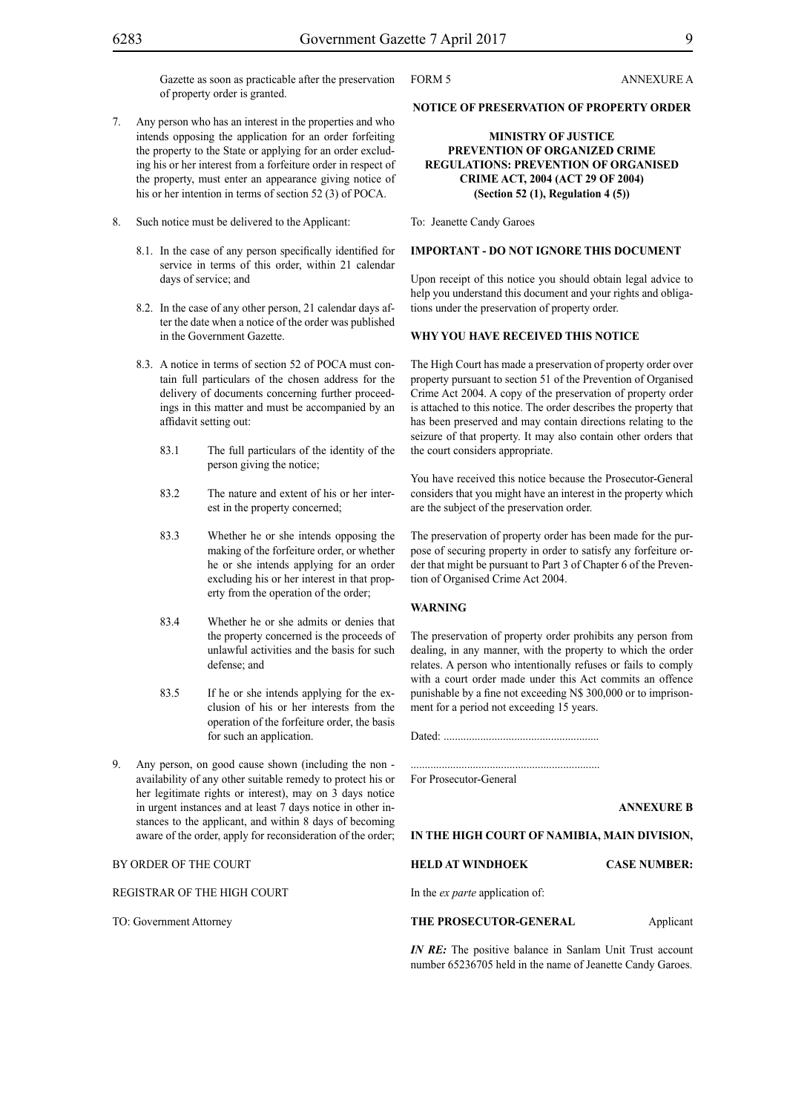Gazette as soon as practicable after the preservation of property order is granted.

- 7. Any person who has an interest in the properties and who intends opposing the application for an order forfeiting the property to the State or applying for an order excluding his or her interest from a forfeiture order in respect of the property, must enter an appearance giving notice of his or her intention in terms of section 52 (3) of POCA.
- 8. Such notice must be delivered to the Applicant:
	- 8.1. In the case of any person specifically identified for service in terms of this order, within 21 calendar days of service; and
	- 8.2. In the case of any other person, 21 calendar days after the date when a notice of the order was published in the Government Gazette.
	- 8.3. A notice in terms of section 52 of POCA must contain full particulars of the chosen address for the delivery of documents concerning further proceedings in this matter and must be accompanied by an affidavit setting out:
		- 83.1 The full particulars of the identity of the person giving the notice;
		- 83.2 The nature and extent of his or her interest in the property concerned;
		- 83.3 Whether he or she intends opposing the making of the forfeiture order, or whether he or she intends applying for an order excluding his or her interest in that property from the operation of the order;
		- 83.4 Whether he or she admits or denies that the property concerned is the proceeds of unlawful activities and the basis for such defense; and
		- 83.5 If he or she intends applying for the exclusion of his or her interests from the operation of the forfeiture order, the basis for such an application.
- 9. Any person, on good cause shown (including the non availability of any other suitable remedy to protect his or her legitimate rights or interest), may on 3 days notice in urgent instances and at least 7 days notice in other instances to the applicant, and within 8 days of becoming aware of the order, apply for reconsideration of the order;

# BY ORDER OF THE COURT

REGISTRAR OF THE HIGH COURT

TO: Government Attorney

FORM 5 ANNEXURE A

#### **NOTICE OF PRESERVATION OF PROPERTY ORDER**

# **MINISTRY OF JUSTICE PREVENTION OF ORGANIZED CRIME REGULATIONS: PREVENTION OF ORGANISED CRIME ACT, 2004 (ACT 29 OF 2004) (Section 52 (1), Regulation 4 (5))**

To: Jeanette Candy Garoes

#### **IMPORTANT - DO NOT IGNORE THIS DOCUMENT**

Upon receipt of this notice you should obtain legal advice to help you understand this document and your rights and obligations under the preservation of property order.

#### **WHY YOU HAVE RECEIVED THIS NOTICE**

The High Court has made a preservation of property order over property pursuant to section 51 of the Prevention of Organised Crime Act 2004. A copy of the preservation of property order is attached to this notice. The order describes the property that has been preserved and may contain directions relating to the seizure of that property. It may also contain other orders that the court considers appropriate.

You have received this notice because the Prosecutor-General considers that you might have an interest in the property which are the subject of the preservation order.

The preservation of property order has been made for the purpose of securing property in order to satisfy any forfeiture order that might be pursuant to Part 3 of Chapter 6 of the Prevention of Organised Crime Act 2004.

#### **WARNING**

The preservation of property order prohibits any person from dealing, in any manner, with the property to which the order relates. A person who intentionally refuses or fails to comply with a court order made under this Act commits an offence punishable by a fine not exceeding N\$ 300,000 or to imprisonment for a period not exceeding 15 years.

Dated: .......................................................

...................................................................

For Prosecutor-General

**ANNEXURE B**

#### **IN THE HIGH COURT OF NAMIBIA, MAIN DIVISION,**

**HELD AT WINDHOEK CASE NUMBER:**

In the *ex parte* application of:

**THE PROSECUTOR-GENERAL** Applicant

*IN RE:* The positive balance in Sanlam Unit Trust account number 65236705 held in the name of Jeanette Candy Garoes.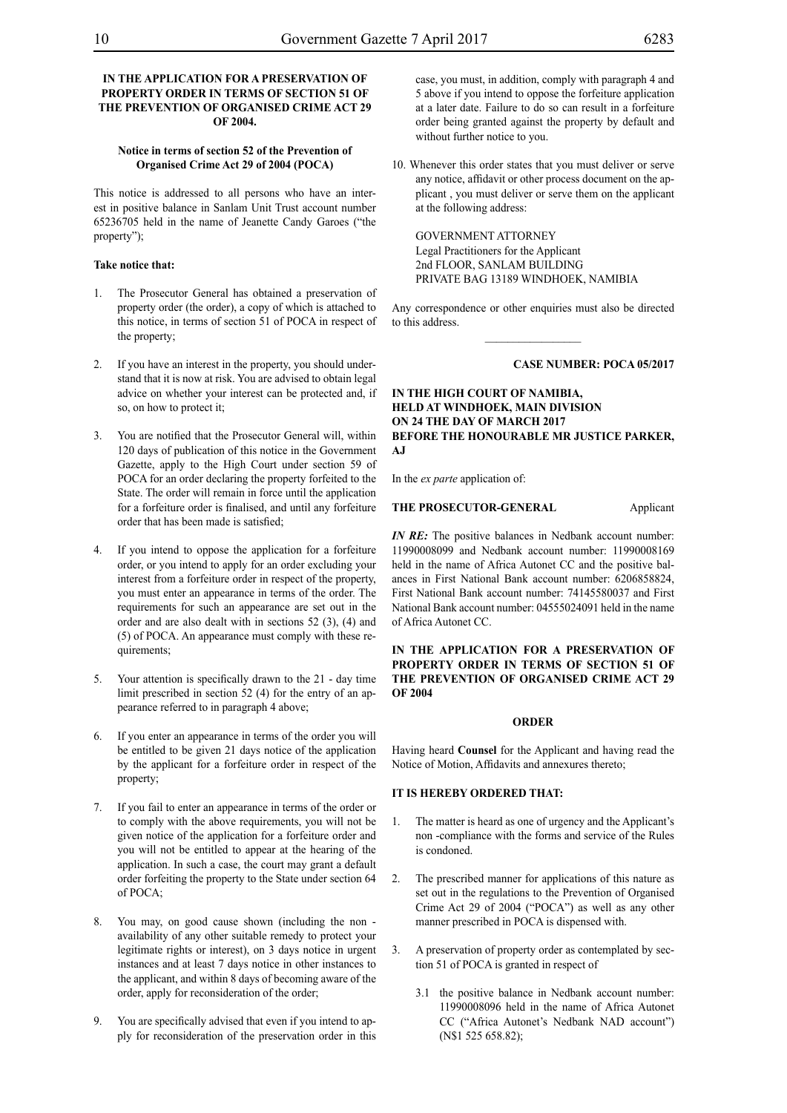# **IN THE APPLICATION FOR A PRESERVATION OF PROPERTY ORDER IN TERMS OF SECTION 51 OF THE PREVENTION OF ORGANISED CRIME ACT 29 OF 2004.**

# **Notice in terms of section 52 of the Prevention of Organised Crime Act 29 of 2004 (POCA)**

This notice is addressed to all persons who have an interest in positive balance in Sanlam Unit Trust account number 65236705 held in the name of Jeanette Candy Garoes ("the property");

# **Take notice that:**

- 1. The Prosecutor General has obtained a preservation of property order (the order), a copy of which is attached to this notice, in terms of section 51 of POCA in respect of the property;
- 2. If you have an interest in the property, you should understand that it is now at risk. You are advised to obtain legal advice on whether your interest can be protected and, if so, on how to protect it;
- 3. You are notified that the Prosecutor General will, within 120 days of publication of this notice in the Government Gazette, apply to the High Court under section 59 of POCA for an order declaring the property forfeited to the State. The order will remain in force until the application for a forfeiture order is finalised, and until any forfeiture order that has been made is satisfied;
- 4. If you intend to oppose the application for a forfeiture order, or you intend to apply for an order excluding your interest from a forfeiture order in respect of the property, you must enter an appearance in terms of the order. The requirements for such an appearance are set out in the order and are also dealt with in sections 52 (3), (4) and (5) of POCA. An appearance must comply with these requirements;
- 5. Your attention is specifically drawn to the 21 day time limit prescribed in section 52 (4) for the entry of an appearance referred to in paragraph 4 above;
- 6. If you enter an appearance in terms of the order you will be entitled to be given 21 days notice of the application by the applicant for a forfeiture order in respect of the property;
- 7. If you fail to enter an appearance in terms of the order or to comply with the above requirements, you will not be given notice of the application for a forfeiture order and you will not be entitled to appear at the hearing of the application. In such a case, the court may grant a default order forfeiting the property to the State under section 64 of POCA;
- 8. You may, on good cause shown (including the non availability of any other suitable remedy to protect your legitimate rights or interest), on 3 days notice in urgent instances and at least 7 days notice in other instances to the applicant, and within 8 days of becoming aware of the order, apply for reconsideration of the order;
- 9. You are specifically advised that even if you intend to apply for reconsideration of the preservation order in this

case, you must, in addition, comply with paragraph 4 and 5 above if you intend to oppose the forfeiture application at a later date. Failure to do so can result in a forfeiture order being granted against the property by default and without further notice to you.

10. Whenever this order states that you must deliver or serve any notice, affidavit or other process document on the applicant , you must deliver or serve them on the applicant at the following address:

GOVERNMENT ATTORNEY Legal Practitioners for the Applicant 2nd FLOOR, SANLAM BUILDING PRIVATE BAG 13189 WINDHOEK, NAMIBIA

Any correspondence or other enquiries must also be directed to this address.  $\frac{1}{2}$ 

#### **Case number: POCA 05/2017**

# **IN THE HIGH COURT OF NAMIBIA, HELD AT WINDHOEK, MAIN DIVISION ON 24 THE DAY OF MARCH 2017 BEFORE THE HONOURABLE MR JUSTICE PARKER, AJ**

In the *ex parte* application of:

**THE PROSECUTOR-GENERAL** Applicant

*IN RE:* The positive balances in Nedbank account number: 11990008099 and Nedbank account number: 11990008169 held in the name of Africa Autonet CC and the positive balances in First National Bank account number: 6206858824, First National Bank account number: 74145580037 and First National Bank account number: 04555024091 held in the name of Africa Autonet CC.

### **IN THE APPLICATION FOR A PRESERVATION OF PROPERTY ORDER IN TERMS OF SECTION 51 OF THE PREVENTION OF ORGANISED CRIME ACT 29 OF 2004**

#### **ORDER**

Having heard **Counsel** for the Applicant and having read the Notice of Motion, Affidavits and annexures thereto;

# **IT IS HEREBY ORDERED THAT:**

- 1. The matter is heard as one of urgency and the Applicant's non -compliance with the forms and service of the Rules is condoned.
- 2. The prescribed manner for applications of this nature as set out in the regulations to the Prevention of Organised Crime Act 29 of 2004 ("POCA") as well as any other manner prescribed in POCA is dispensed with.
- 3. A preservation of property order as contemplated by section 51 of POCA is granted in respect of
	- 3.1 the positive balance in Nedbank account number: 11990008096 held in the name of Africa Autonet CC ("Africa Autonet's Nedbank NAD account") (N\$1 525 658.82);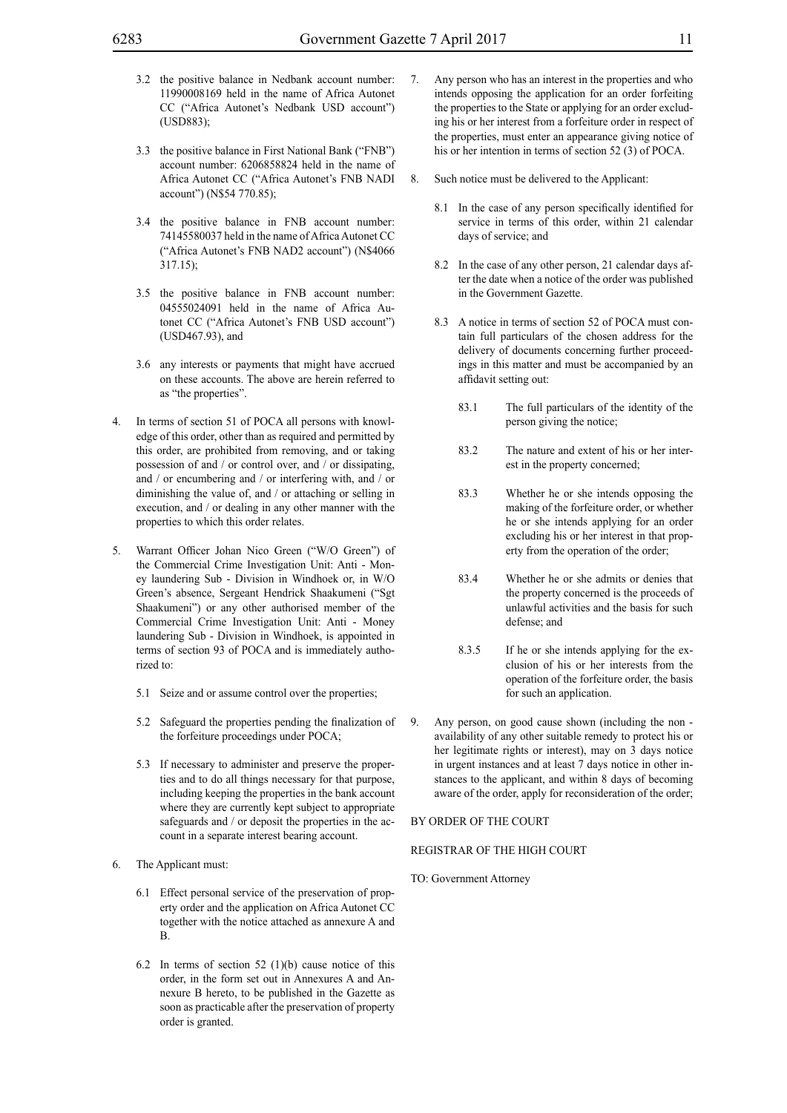- 3.2 the positive balance in Nedbank account number: 11990008169 held in the name of Africa Autonet CC ("Africa Autonet's Nedbank USD account") (USD883);
- 3.3 the positive balance in First National Bank ("FNB") account number: 6206858824 held in the name of Africa Autonet CC ("Africa Autonet's FNB NADI account") (N\$54 770.85);
- 3.4 the positive balance in FNB account number: 74145580037 held in the name of Africa Autonet CC ("Africa Autonet's FNB NAD2 account") (N\$4066 317.15);
- 3.5 the positive balance in FNB account number: 04555024091 held in the name of Africa Autonet CC ("Africa Autonet's FNB USD account") (USD467.93), and
- 3.6 any interests or payments that might have accrued on these accounts. The above are herein referred to as "the properties".
- 4. In terms of section 51 of POCA all persons with knowledge of this order, other than as required and permitted by this order, are prohibited from removing, and or taking possession of and / or control over, and / or dissipating, and / or encumbering and / or interfering with, and / or diminishing the value of, and / or attaching or selling in execution, and / or dealing in any other manner with the properties to which this order relates.
- 5. Warrant Officer Johan Nico Green ("W/O Green") of the Commercial Crime Investigation Unit: Anti - Money laundering Sub - Division in Windhoek or, in W/O Green's absence, Sergeant Hendrick Shaakumeni ("Sgt Shaakumeni") or any other authorised member of the Commercial Crime Investigation Unit: Anti - Money laundering Sub - Division in Windhoek, is appointed in terms of section 93 of POCA and is immediately authorized to:
	- 5.1 Seize and or assume control over the properties;
	- 5.2 Safeguard the properties pending the finalization of the forfeiture proceedings under POCA;
	- 5.3 If necessary to administer and preserve the properties and to do all things necessary for that purpose, including keeping the properties in the bank account where they are currently kept subject to appropriate safeguards and / or deposit the properties in the account in a separate interest bearing account.
- 6. The Applicant must:
	- 6.1 Effect personal service of the preservation of property order and the application on Africa Autonet CC together with the notice attached as annexure A and B.
	- 6.2 In terms of section 52 (1)(b) cause notice of this order, in the form set out in Annexures A and Annexure B hereto, to be published in the Gazette as soon as practicable after the preservation of property order is granted.
- 7. Any person who has an interest in the properties and who intends opposing the application for an order forfeiting the properties to the State or applying for an order excluding his or her interest from a forfeiture order in respect of the properties, must enter an appearance giving notice of his or her intention in terms of section 52 (3) of POCA.
- 8. Such notice must be delivered to the Applicant:
	- 8.1 In the case of any person specifically identified for service in terms of this order, within 21 calendar days of service; and
	- 8.2 In the case of any other person, 21 calendar days after the date when a notice of the order was published in the Government Gazette.
	- 8.3 A notice in terms of section 52 of POCA must contain full particulars of the chosen address for the delivery of documents concerning further proceedings in this matter and must be accompanied by an affidavit setting out:
		- 83.1 The full particulars of the identity of the person giving the notice;
		- 83.2 The nature and extent of his or her interest in the property concerned;
		- 83.3 Whether he or she intends opposing the making of the forfeiture order, or whether he or she intends applying for an order excluding his or her interest in that property from the operation of the order;
		- 83.4 Whether he or she admits or denies that the property concerned is the proceeds of unlawful activities and the basis for such defense; and
		- 8.3.5 If he or she intends applying for the exclusion of his or her interests from the operation of the forfeiture order, the basis for such an application.
- 9. Any person, on good cause shown (including the non availability of any other suitable remedy to protect his or her legitimate rights or interest), may on 3 days notice in urgent instances and at least 7 days notice in other instances to the applicant, and within 8 days of becoming aware of the order, apply for reconsideration of the order;

# BY ORDER OF THE COURT

### REGISTRAR OF THE HIGH COURT

TO: Government Attorney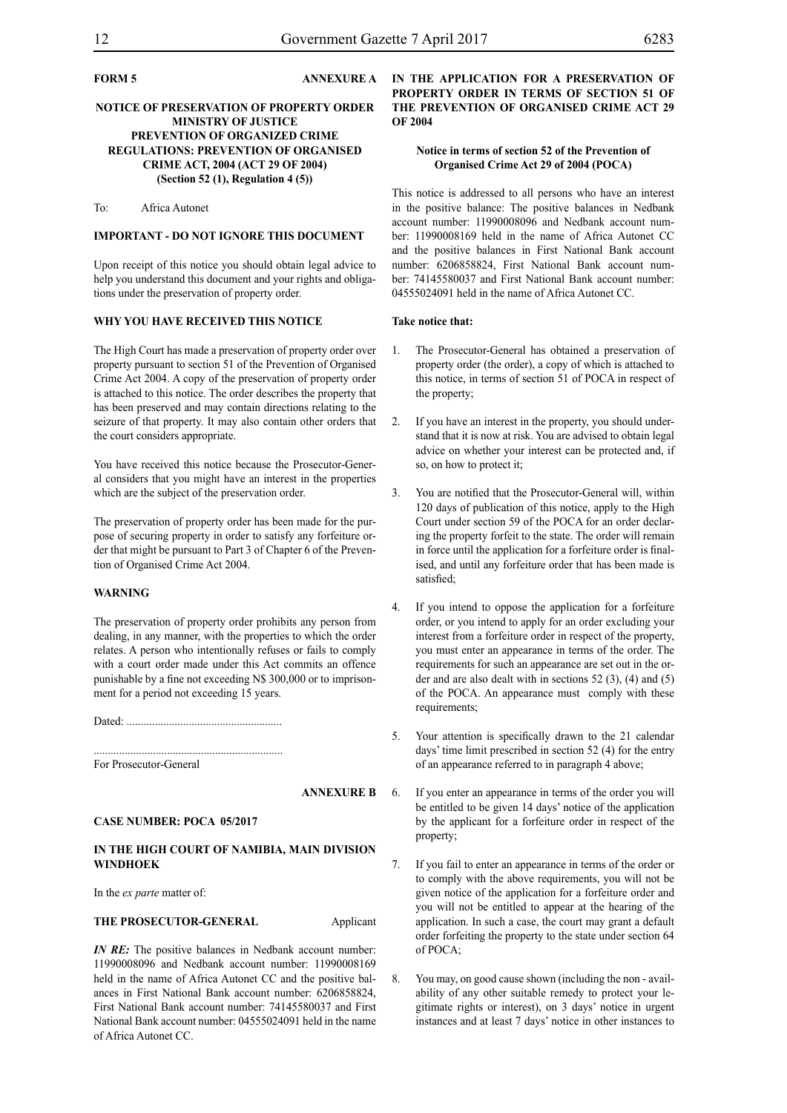# **FORM 5 ANNEXURE A**

# **NOTICE OF PRESERVATION OF PROPERTY ORDER MINISTRY OF JUSTICE PREVENTION OF ORGANIZED CRIME REGULATIONS: PREVENTION OF ORGANISED CRIME ACT, 2004 (ACT 29 OF 2004) (Section 52 (1), Regulation 4 (5))**

To: Africa Autonet

# **IMPORTANT - DO NOT IGNORE THIS DOCUMENT**

Upon receipt of this notice you should obtain legal advice to help you understand this document and your rights and obligations under the preservation of property order.

### **WHY YOU HAVE RECEIVED THIS NOTICE**

The High Court has made a preservation of property order over property pursuant to section 51 of the Prevention of Organised Crime Act 2004. A copy of the preservation of property order is attached to this notice. The order describes the property that has been preserved and may contain directions relating to the seizure of that property. It may also contain other orders that the court considers appropriate.

You have received this notice because the Prosecutor-General considers that you might have an interest in the properties which are the subject of the preservation order.

The preservation of property order has been made for the purpose of securing property in order to satisfy any forfeiture order that might be pursuant to Part 3 of Chapter 6 of the Prevention of Organised Crime Act 2004.

# **WARNING**

The preservation of property order prohibits any person from dealing, in any manner, with the properties to which the order relates. A person who intentionally refuses or fails to comply with a court order made under this Act commits an offence punishable by a fine not exceeding N\$ 300,000 or to imprisonment for a period not exceeding 15 years.

Dated: .......................................................

................................................................... For Prosecutor-General

**ANNEXURE B**

# **CASE NUMBER: POCA 05/2017**

#### **IN THE HIGH COURT OF NAMIBIA, MAIN DIVISION WINDHOEK**

In the *ex parte* matter of:

# THE PROSECUTOR-GENERAL **Applicant**

*IN RE*: The positive balances in Nedbank account number: 11990008096 and Nedbank account number: 11990008169 held in the name of Africa Autonet CC and the positive balances in First National Bank account number: 6206858824, First National Bank account number: 74145580037 and First National Bank account number: 04555024091 held in the name of Africa Autonet CC.

# **IN THE APPLICATION FOR A PRESERVATION OF PROPERTY ORDER IN TERMS OF SECTION 51 OF THE PREVENTION OF ORGANISED CRIME ACT 29 OF 2004**

# **Notice in terms of section 52 of the Prevention of Organised Crime Act 29 of 2004 (POCA)**

This notice is addressed to all persons who have an interest in the positive balance: The positive balances in Nedbank account number: 11990008096 and Nedbank account number: 11990008169 held in the name of Africa Autonet CC and the positive balances in First National Bank account number: 6206858824, First National Bank account number: 74145580037 and First National Bank account number: 04555024091 held in the name of Africa Autonet CC.

#### **Take notice that:**

- 1. The Prosecutor-General has obtained a preservation of property order (the order), a copy of which is attached to this notice, in terms of section 51 of POCA in respect of the property;
- 2. If you have an interest in the property, you should understand that it is now at risk. You are advised to obtain legal advice on whether your interest can be protected and, if so, on how to protect it;
- 3. You are notified that the Prosecutor-General will, within 120 days of publication of this notice, apply to the High Court under section 59 of the POCA for an order declaring the property forfeit to the state. The order will remain in force until the application for a forfeiture order is finalised, and until any forfeiture order that has been made is satisfied;
- 4. If you intend to oppose the application for a forfeiture order, or you intend to apply for an order excluding your interest from a forfeiture order in respect of the property, you must enter an appearance in terms of the order. The requirements for such an appearance are set out in the order and are also dealt with in sections 52 (3), (4) and (5) of the POCA. An appearance must comply with these requirements;
- 5. Your attention is specifically drawn to the 21 calendar days' time limit prescribed in section 52 (4) for the entry of an appearance referred to in paragraph 4 above;
- 6. If you enter an appearance in terms of the order you will be entitled to be given 14 days' notice of the application by the applicant for a forfeiture order in respect of the property;
	- 7. If you fail to enter an appearance in terms of the order or to comply with the above requirements, you will not be given notice of the application for a forfeiture order and you will not be entitled to appear at the hearing of the application. In such a case, the court may grant a default order forfeiting the property to the state under section 64 of POCA;
	- 8. You may, on good cause shown (including the non availability of any other suitable remedy to protect your legitimate rights or interest), on 3 days' notice in urgent instances and at least 7 days' notice in other instances to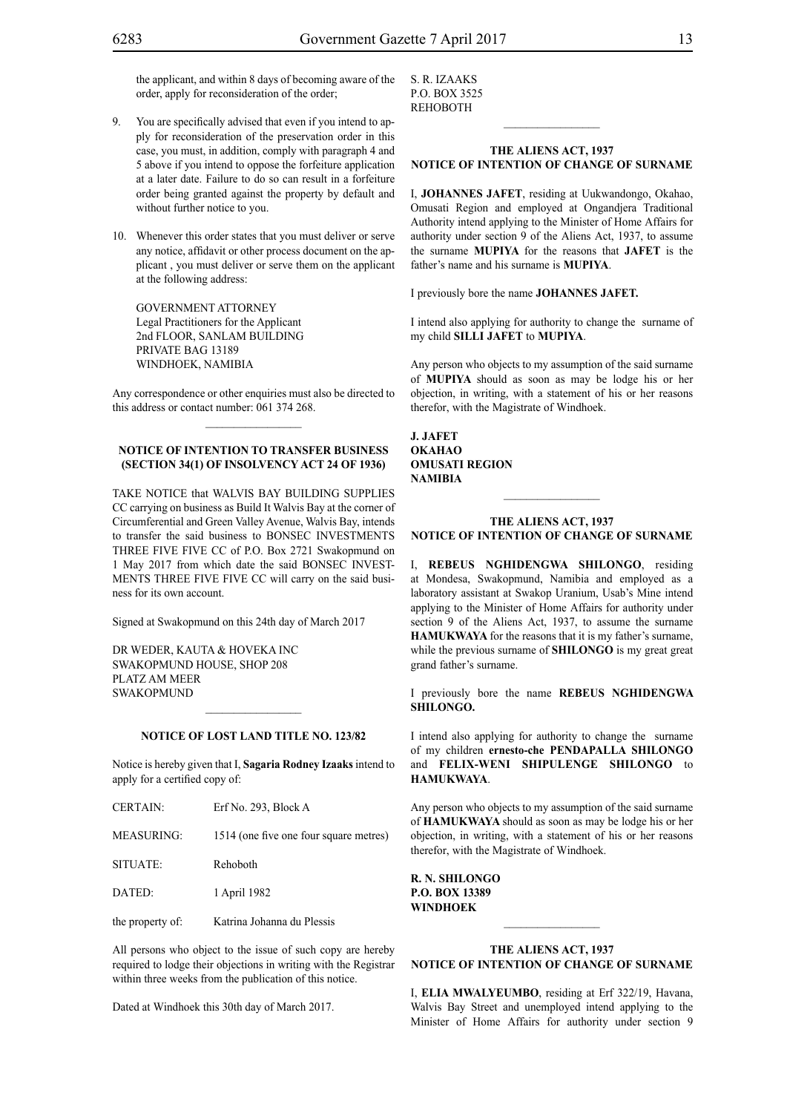the applicant, and within 8 days of becoming aware of the order, apply for reconsideration of the order;

- 9. You are specifically advised that even if you intend to apply for reconsideration of the preservation order in this case, you must, in addition, comply with paragraph 4 and 5 above if you intend to oppose the forfeiture application at a later date. Failure to do so can result in a forfeiture order being granted against the property by default and without further notice to you.
- 10. Whenever this order states that you must deliver or serve any notice, affidavit or other process document on the applicant , you must deliver or serve them on the applicant at the following address:

GOVERNMENT ATTORNEY Legal Practitioners for the Applicant 2nd FLOOR, SANLAM BUILDING PRIVATE BAG 13189 WINDHOEK, NAMIBIA

Any correspondence or other enquiries must also be directed to this address or contact number: 061 374 268.

# **NOTICE OF INTENTION TO TRANSFER BUSINESS (SECTION 34(1) OF INSOLVENCY ACT 24 OF 1936)**

TAKE NOTICE that WALVIS BAY BUILDING SUPPLIES CC carrying on business as Build It Walvis Bay at the corner of Circumferential and Green Valley Avenue, Walvis Bay, intends to transfer the said business to BONSEC INVESTMENTS THREE FIVE FIVE CC of P.O. Box 2721 Swakopmund on 1 May 2017 from which date the said BONSEC INVEST-MENTS THREE FIVE FIVE CC will carry on the said business for its own account.

Signed at Swakopmund on this 24th day of March 2017

DR WEDER, KAUTA & HOVEKA INC SWAKOPMUND HOUSE, SHOP 208 PLATZ AM MEER SWAKOPMUND

 $CERTAIN:$  Erf No. 203, Block A

#### **NOTICE OF LOST LAND TITLE NO. 123/82**

 $\frac{1}{2}$ 

Notice is hereby given that I, **Sagaria Rodney Izaaks** intend to apply for a certified copy of:

| -----------      | 1111101211001111                       |
|------------------|----------------------------------------|
| MEASURING:       | 1514 (one five one four square metres) |
| SITUATE:         | Rehoboth                               |
| DATED:           | 1 April 1982                           |
| the property of: | Katrina Johanna du Plessis             |

All persons who object to the issue of such copy are hereby required to lodge their objections in writing with the Registrar within three weeks from the publication of this notice.

Dated at Windhoek this 30th day of March 2017.

S. R. Izaaks p.o. box 3525 **REHOBOTH** 

#### **THE ALIENS ACT, 1937 NOTICE OF INTENTION OF CHANGE OF SURNAME**

 $\frac{1}{2}$ 

I, **Johannes Jafet**, residing at Uukwandongo, Okahao, Omusati Region and employed at Ongandjera Traditional Authority intend applying to the Minister of Home Affairs for authority under section 9 of the Aliens Act, 1937, to assume the surname **mupiya** for the reasons that **JAFET** is the father's name and his surname is **MUPIYA**.

I previously bore the name **Johannes Jafet.**

I intend also applying for authority to change the surname of my child **SILLI JAFET** to **MUPIYA**.

Any person who objects to my assumption of the said surname of **MUPIYA** should as soon as may be lodge his or her objection, in writing, with a statement of his or her reasons therefor, with the Magistrate of Windhoek.

**J. Jafet okahao omusati region namibia**

#### **THE ALIENS ACT, 1937 NOTICE OF INTENTION OF CHANGE OF SURNAME**

I, **rebeus nghidengwa shilongo**, residing at Mondesa, Swakopmund, Namibia and employed as a laboratory assistant at Swakop Uranium, Usab's Mine intend applying to the Minister of Home Affairs for authority under section 9 of the Aliens Act, 1937, to assume the surname **HAMUKWAYA** for the reasons that it is my father's surname, while the previous surname of **SHILONGO** is my great great grand father's surname.

I previously bore the name **rebeus nghidengwa shilongo.**

I intend also applying for authority to change the surname of my children **ernesto-che PENDAPALLA SHILONGO**  and **FELIX-WENI SHIPULENGE SHILONGO** to **hamukwaya**.

Any person who objects to my assumption of the said surname of **hamukwaya** should as soon as may be lodge his or her objection, in writing, with a statement of his or her reasons therefor, with the Magistrate of Windhoek.

**r. n. shilongo P.o. box 13389 windhoek**

# **THE ALIENS ACT, 1937 NOTICE OF INTENTION OF CHANGE OF SURNAME**

 $\frac{1}{2}$ 

I, **elia mwalyeumbo**, residing at Erf 322/19, Havana, Walvis Bay Street and unemployed intend applying to the Minister of Home Affairs for authority under section 9